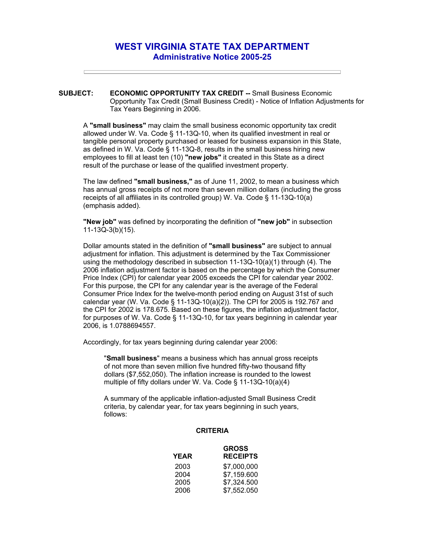## **WEST VIRGINIA STATE TAX DEPARTMENT Administrative Notice 2005-25**

**SUBJECT: ECONOMIC OPPORTUNITY TAX CREDIT --** Small Business Economic Opportunity Tax Credit (Small Business Credit) - Notice of Inflation Adjustments for Tax Years Beginning in 2006.

A **"small business"** may claim the small business economic opportunity tax credit allowed under W. Va. Code § 11-13Q-10, when its qualified investment in real or tangible personal property purchased or leased for business expansion in this State, as defined in W. Va. Code § 11-13Q-8, results in the small business hiring new employees to fill at least ten (10) **"new jobs"** it created in this State as a direct result of the purchase or lease of the qualified investment property.

The law defined **"small business,"** as of June 11, 2002, to mean a business which has annual gross receipts of not more than seven million dollars (including the gross receipts of all affiliates in its controlled group) W. Va. Code § 11-13Q-10(a) (emphasis added).

**"New job"** was defined by incorporating the definition of **"new job"** in subsection 11-13Q-3(b)(15).

Dollar amounts stated in the definition of **"small business"** are subject to annual adjustment for inflation. This adjustment is determined by the Tax Commissioner using the methodology described in subsection 11-13Q-10(a)(1) through (4). The 2006 inflation adjustment factor is based on the percentage by which the Consumer Price Index (CPI) for calendar year 2005 exceeds the CPI for calendar year 2002. For this purpose, the CPI for any calendar year is the average of the Federal Consumer Price Index for the twelve-month period ending on August 31st of such calendar year (W. Va. Code § 11-13Q-10(a)(2)). The CPI for 2005 is 192.767 and the CPI for 2002 is 178.675. Based on these figures, the inflation adjustment factor, for purposes of W. Va. Code § 11-13Q-10, for tax years beginning in calendar year 2006, is 1.0788694557.

Accordingly, for tax years beginning during calendar year 2006:

"**Small business**" means a business which has annual gross receipts of not more than seven million five hundred fifty-two thousand fifty dollars (\$7,552,050). The inflation increase is rounded to the lowest multiple of fifty dollars under W. Va. Code § 11-13Q-10(a)(4)

A summary of the applicable inflation-adjusted Small Business Credit criteria, by calendar year, for tax years beginning in such years, follows:

## **CRITERIA**

| <b>GROSS</b>    |
|-----------------|
| <b>RECEIPTS</b> |
| \$7,000,000     |
| \$7.159.600     |
| \$7,324.500     |
| \$7.552.050     |
|                 |